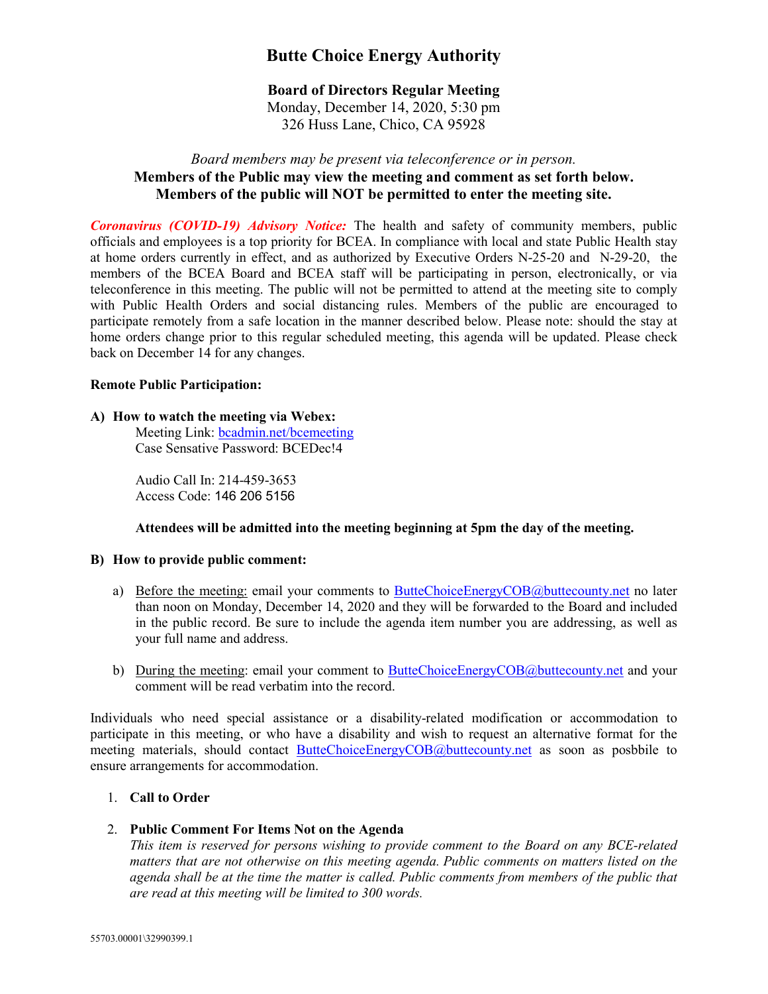# **Butte Choice Energy Authority**

# **Board of Directors Regular Meeting**

Monday, December 14, 2020, 5:30 pm 326 Huss Lane, Chico, CA 95928

# *Board members may be present via teleconference or in person.* **Members of the Public may view the meeting and comment as set forth below. Members of the public will NOT be permitted to enter the meeting site.**

*Coronavirus (COVID-19) Advisory Notice:* The health and safety of community members, public officials and employees is a top priority for BCEA. In compliance with local and state Public Health stay at home orders currently in effect, and as authorized by Executive Orders N-25-20 and N-29-20, the members of the BCEA Board and BCEA staff will be participating in person, electronically, or via teleconference in this meeting. The public will not be permitted to attend at the meeting site to comply with Public Health Orders and social distancing rules. Members of the public are encouraged to participate remotely from a safe location in the manner described below. Please note: should the stay at home orders change prior to this regular scheduled meeting, this agenda will be updated. Please check back on December 14 for any changes.

#### **Remote Public Participation:**

#### **A) How to watch the meeting via Webex:**

Meeting Link: **bcadmin.net/bcemeeting** Case Sensative Password: BCEDec!4

Audio Call In: 214-459-3653 Access Code: 146 206 5156

# **Attendees will be admitted into the meeting beginning at 5pm the day of the meeting.**

#### **B) How to provide public comment:**

- a) Before the meeting: email your comments to [ButteChoiceEnergyCOB@buttecounty.net](mailto:ButteChoiceEnergyCOB@buttecounty.net) no later than noon on Monday, December 14, 2020 and they will be forwarded to the Board and included in the public record. Be sure to include the agenda item number you are addressing, as well as your full name and address.
- b) During the meeting: email your comment to [ButteChoiceEnergyCOB@buttecounty.net](mailto:ButteChoiceEnergyCOB@buttecounty.net) and your comment will be read verbatim into the record.

Individuals who need special assistance or a disability-related modification or accommodation to participate in this meeting, or who have a disability and wish to request an alternative format for the meeting materials, should contact [ButteChoiceEnergyCOB@buttecounty.net](mailto:ButteChoiceEnergyCOB@buttecounty.net) as soon as posbbile to ensure arrangements for accommodation.

# 1. **Call to Order**

#### 2. **Public Comment For Items Not on the Agenda**

*This item is reserved for persons wishing to provide comment to the Board on any BCE-related matters that are not otherwise on this meeting agenda. Public comments on matters listed on the agenda shall be at the time the matter is called. Public comments from members of the public that are read at this meeting will be limited to 300 words.*